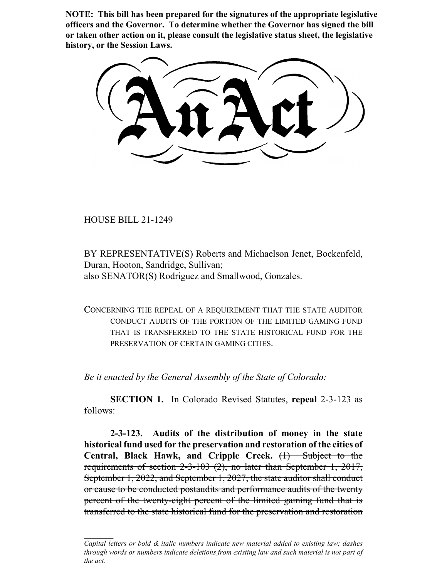**NOTE: This bill has been prepared for the signatures of the appropriate legislative officers and the Governor. To determine whether the Governor has signed the bill or taken other action on it, please consult the legislative status sheet, the legislative history, or the Session Laws.**

HOUSE BILL 21-1249

BY REPRESENTATIVE(S) Roberts and Michaelson Jenet, Bockenfeld, Duran, Hooton, Sandridge, Sullivan; also SENATOR(S) Rodriguez and Smallwood, Gonzales.

CONCERNING THE REPEAL OF A REQUIREMENT THAT THE STATE AUDITOR CONDUCT AUDITS OF THE PORTION OF THE LIMITED GAMING FUND THAT IS TRANSFERRED TO THE STATE HISTORICAL FUND FOR THE PRESERVATION OF CERTAIN GAMING CITIES.

*Be it enacted by the General Assembly of the State of Colorado:*

**SECTION 1.** In Colorado Revised Statutes, **repeal** 2-3-123 as follows:

**2-3-123. Audits of the distribution of money in the state historical fund used for the preservation and restoration of the cities of Central, Black Hawk, and Cripple Creek.** (1) Subject to the requirements of section 2-3-103 (2), no later than September 1, 2017, September 1, 2022, and September 1, 2027, the state auditor shall conduct or cause to be conducted postaudits and performance audits of the twenty percent of the twenty-eight percent of the limited gaming fund that is transferred to the state historical fund for the preservation and restoration

*Capital letters or bold & italic numbers indicate new material added to existing law; dashes through words or numbers indicate deletions from existing law and such material is not part of the act.*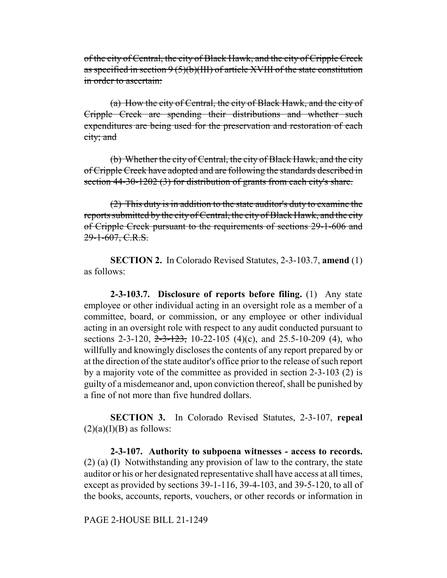of the city of Central, the city of Black Hawk, and the city of Cripple Creek as specified in section  $9(5)(b)(III)$  of article XVIII of the state constitution in order to ascertain:

(a) How the city of Central, the city of Black Hawk, and the city of Cripple Creek are spending their distributions and whether such expenditures are being used for the preservation and restoration of each city; and

(b) Whether the city of Central, the city of Black Hawk, and the city of Cripple Creek have adopted and are following the standards described in section 44-30-1202 (3) for distribution of grants from each city's share.

(2) This duty is in addition to the state auditor's duty to examine the reports submitted by the city of Central, the city of Black Hawk, and the city of Cripple Creek pursuant to the requirements of sections 29-1-606 and 29-1-607, C.R.S.

**SECTION 2.** In Colorado Revised Statutes, 2-3-103.7, **amend** (1) as follows:

**2-3-103.7. Disclosure of reports before filing.** (1) Any state employee or other individual acting in an oversight role as a member of a committee, board, or commission, or any employee or other individual acting in an oversight role with respect to any audit conducted pursuant to sections 2-3-120,  $2\overline{-3}$ -123, 10-22-105 (4)(c), and 25.5-10-209 (4), who willfully and knowingly discloses the contents of any report prepared by or at the direction of the state auditor's office prior to the release of such report by a majority vote of the committee as provided in section 2-3-103 (2) is guilty of a misdemeanor and, upon conviction thereof, shall be punished by a fine of not more than five hundred dollars.

**SECTION 3.** In Colorado Revised Statutes, 2-3-107, **repeal**  $(2)(a)(I)(B)$  as follows:

**2-3-107. Authority to subpoena witnesses - access to records.** (2) (a) (I) Notwithstanding any provision of law to the contrary, the state auditor or his or her designated representative shall have access at all times, except as provided by sections 39-1-116, 39-4-103, and 39-5-120, to all of the books, accounts, reports, vouchers, or other records or information in

PAGE 2-HOUSE BILL 21-1249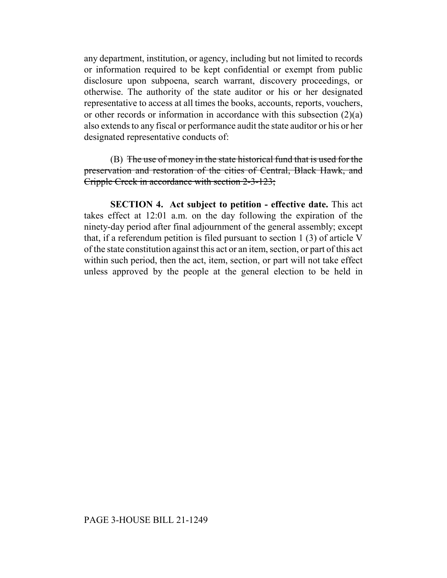any department, institution, or agency, including but not limited to records or information required to be kept confidential or exempt from public disclosure upon subpoena, search warrant, discovery proceedings, or otherwise. The authority of the state auditor or his or her designated representative to access at all times the books, accounts, reports, vouchers, or other records or information in accordance with this subsection (2)(a) also extends to any fiscal or performance audit the state auditor or his or her designated representative conducts of:

(B) The use of money in the state historical fund that is used for the preservation and restoration of the cities of Central, Black Hawk, and Cripple Creek in accordance with section 2-3-123;

**SECTION 4. Act subject to petition - effective date.** This act takes effect at 12:01 a.m. on the day following the expiration of the ninety-day period after final adjournment of the general assembly; except that, if a referendum petition is filed pursuant to section 1 (3) of article V of the state constitution against this act or an item, section, or part of this act within such period, then the act, item, section, or part will not take effect unless approved by the people at the general election to be held in